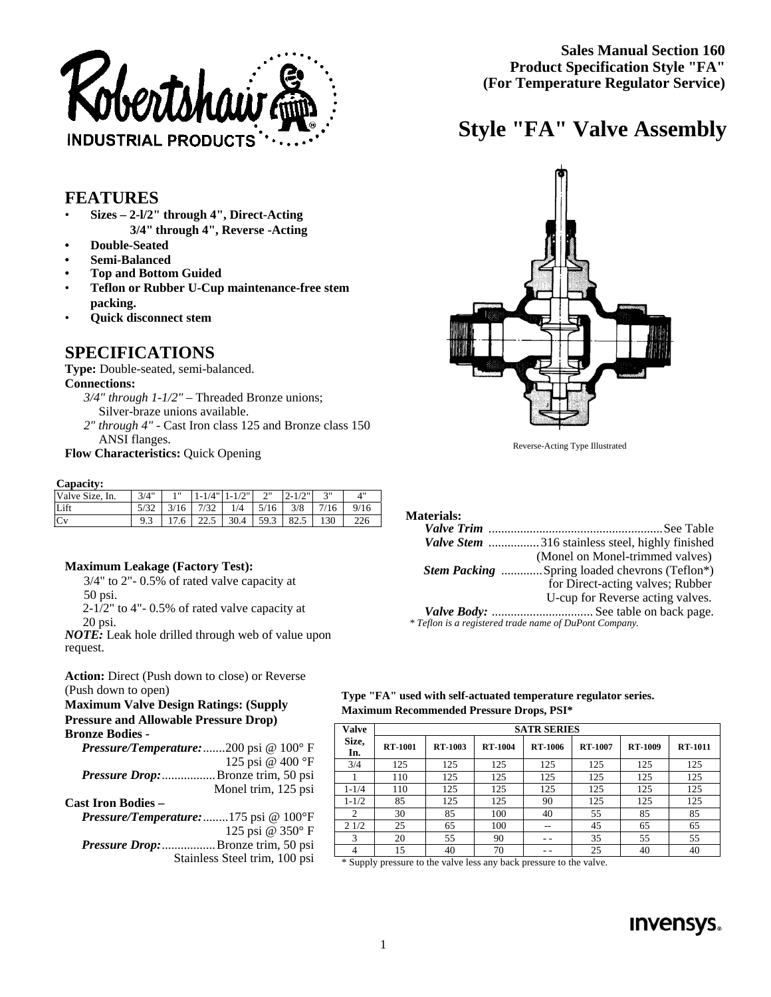

**Sales Manual Section 160 Product Specification Style "FA" (For Temperature Regulator Service)**

## **Style "FA" Valve Assembly**

## **FEATURES**

- **Sizes 2-l/2" through 4", Direct-Acting 3/4" through 4", Reverse -Acting**
- **Double-Seated**
- **Semi-Balanced**
- **Top and Bottom Guided**
- **Teflon or Rubber U-Cup maintenance-free stem packing.**
- **Quick disconnect stem**

## **SPECIFICATIONS**

**Type:** Double-seated, semi-balanced.

### **Connections:**

- *3/4" through 1-1/2"* Threaded Bronze unions; Silver-braze unions available.
- *2" through 4"* Cast Iron class 125 and Bronze class 150 ANSI flanges.

**Flow Characteristics:** Quick Opening

#### **Capacity:**

| Valve Size, In. | 3/4" | 1 <sub>II</sub> |             | $1 - 1/4" 1 - 1/2"$         | $\gamma$<br>∼ |      | 2"   | 4"   |                                     |
|-----------------|------|-----------------|-------------|-----------------------------|---------------|------|------|------|-------------------------------------|
| Lift            |      |                 | $3/16$ 7/32 | 1/4                         | 5/16          | 3/8  | 7/16 | 9/16 |                                     |
| Cv              |      |                 |             | $17.6$   22.5   30.4   59.3 |               | 82.5 | 130  | 226  | <b>Materials:</b><br>$\sim$<br>-- - |

#### **Maximum Leakage (Factory Test):**

3/4" to 2"- 0.5% of rated valve capacity at 50 psi. 2-1/2" to 4"- 0.5% of rated valve capacity at

20 psi.

*NOTE:* Leak hole drilled through web of value upon request.

**Action:** Direct (Push down to close) or Reverse (Push down to open)

#### **Maximum Valve Design Ratings: (Supply Pressure and Allowable Pressure Drop) Bronze Bodies**

| DI VIILU DUURS                                            |                               |
|-----------------------------------------------------------|-------------------------------|
| <b>Pressure/Temperature:</b> 200 psi $@$ 100 $^{\circ}$ F |                               |
|                                                           | 125 psi @ 400 °F              |
| <i>Pressure Drop:</i> Bronze trim, 50 psi                 |                               |
|                                                           | Monel trim, 125 psi           |
| <b>Cast Iron Bodies –</b>                                 |                               |
| <b>Pressure/Temperature:</b> 175 psi $@$ 100°F            |                               |
|                                                           | 125 psi @ 350°F               |
| <i>Pressure Drop:</i> Bronze trim, 50 psi                 |                               |
|                                                           | Stainless Steel trim, 100 psi |
|                                                           |                               |
|                                                           |                               |

| Type "FA" used with self-actuated temperature regulator series. |  |
|-----------------------------------------------------------------|--|
| <b>Maximum Recommended Pressure Drops, PSI*</b>                 |  |

| <b>Valve</b>   | <b>SATR SERIES</b> |                |                |         |                |                |                |  |  |  |  |
|----------------|--------------------|----------------|----------------|---------|----------------|----------------|----------------|--|--|--|--|
| Size,<br>In.   | <b>RT-1001</b>     | <b>RT-1003</b> | <b>RT-1004</b> | RT-1006 | <b>RT-1007</b> | <b>RT-1009</b> | <b>RT-1011</b> |  |  |  |  |
| 3/4            | 125                | 125            | 125            | 125     | 125            | 125            | 125            |  |  |  |  |
|                | 110                | 125            | 125            | 125     | 125            | 125            | 125            |  |  |  |  |
| $1 - 1/4$      | 110                | 125            | 125            | 125     | 125            | 125            | 125            |  |  |  |  |
| $1 - 1/2$      | 85                 | 125            | 125            | 90      | 125            | 125            | 125            |  |  |  |  |
| $\overline{c}$ | 30                 | 85             | 100            | 40      | 55             | 85             | 85             |  |  |  |  |
| 21/2           | 25                 | 65             | 100            |         | 45             | 65             | 65             |  |  |  |  |
| 3              | 20                 | 55             | 90             | - -     | 35             | 55             | 55             |  |  |  |  |
| 4              | 15                 | 40             | 70             |         | 25             | 40             | 40             |  |  |  |  |

\* Supply pressure to the valve less any back pressure to the valve.



Reverse-Acting Type Illustrated

| Valve Stem 316 stainless steel, highly finished        |
|--------------------------------------------------------|
| (Monel on Monel-trimmed valves)                        |
| <i>Stem Packing</i> Spring loaded chevrons (Teflon*)   |
| for Direct-acting valves; Rubber                       |
| U-cup for Reverse acting valves.                       |
|                                                        |
| * Teflon is a registered trade name of DuPont Company. |